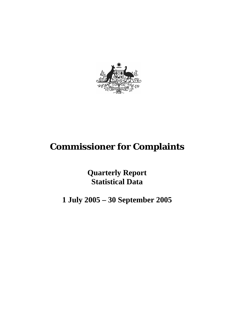

# **Commissioner for Complaints**

**Quarterly Report Statistical Data** 

**1 July 2005 – 30 September 2005**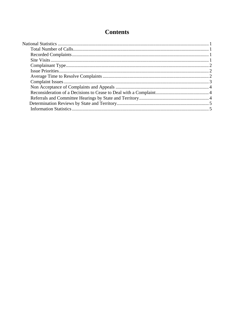# **Contents**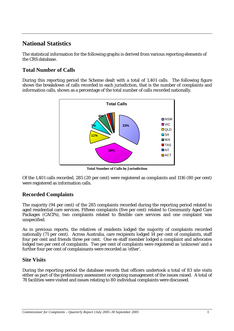# **National Statistics**

The statistical information for the following graphs is derived from various reporting elements of the CRS database.

# **Total Number of Calls**

During this reporting period the Scheme dealt with a total of 1,401 calls. The following figure shows the breakdown of calls recorded in each jurisdiction, that is the number of complaints and information calls, shown as a percentage of the total number of calls recorded nationally.



**Total Number of Calls by Jurisdiction**

Of the 1,401 calls recorded, 285 (20 per cent) were registered as complaints and 1116 (80 per cent) were registered as information calls.

# **Recorded Complaints**

The majority (94 per cent) of the 285 complaints recorded during the reporting period related to aged residential care services. Fifteen complaints (five per cent) related to Community Aged Care Packages (CACPs), two complaints related to flexible care services and one complaint was unspecified.

As in previous reports, the relatives of residents lodged the majority of complaints recorded nationally (71 per cent). Across Australia, care recipients lodged 14 per cent of complaints, staff four per cent and friends three per cent. One ex-staff member lodged a complaint and advocates lodged two per cent of complaints. Two per cent of complaints were registered as 'unknown' and a further four per cent of complainants were recorded as 'other'.

# **Site Visits**

During the reporting period the database records that officers undertook a total of 83 site visits either as part of the preliminary assessment or ongoing management of the issues raised.A total of 78 facilities were visited and issues relating to 80 individual complaints were discussed.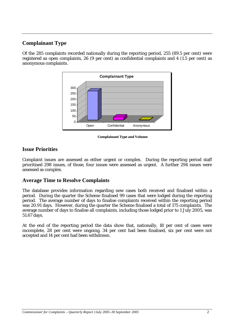# **Complainant Type**

Of the 285 complaints recorded nationally during the reporting period, 255 (89.5 per cent) were registered as open complaints, 26 (9 per cent) as confidential complaints and 4 (1.5 per cent) as anonymous complaints.



 **Complainant Type and Volume** 

# **Issue Priorities**

Complaint issues are assessed as either urgent or complex. During the reporting period staff prioritised 298 issues, of those, four issues were assessed as urgent. A further 294 issues were assessed as complex.

#### **Average Time to Resolve Complaints**

The database provides information regarding new cases both received and finalised within a period. During the quarter the Scheme finalised 99 cases that were lodged during the reporting period. The average number of days to finalise complaints received within the reporting period was 20.91 days. However, during the quarter the Scheme finalised a total of 175 complaints. The average number of days to finalise all complaints, including those lodged prior to 1 July 2005, was 51.67 days.

At the end of the reporting period the data show that, nationally, 18 per cent of cases were incomplete, 28 per cent were ongoing, 34 per cent had been finalised, six per cent were not accepted and 14 per cent had been withdrawn.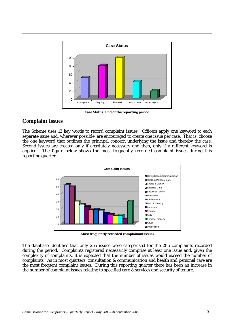

**Case Status: End of the reporting period** 

#### **Complaint Issues**

The Scheme uses 13 key words to record complaint issues. Officers apply one keyword to each separate issue and, wherever possible, are encouraged to create one issue per case. That is, choose the one keyword that outlines the principal concern underlying the issue and thereby the case. Second issues are created only if absolutely necessary and then, only if a different keyword is applied. The figure below shows the most frequently recorded complaint issues during this reporting quarter.



**Most frequently recorded complainant issues** 

The database identifies that only 255 issues were categorised for the 285 complaints recorded during the period. Complaints registered necessarily comprise at least one issue and, given the complexity of complaints, it is expected that the number of issues would exceed the number of complaints. As in most quarters, consultation & communication and health and personal care are the most frequent complaint issues. During this reporting quarter there has been an increase in the number of complaint issues relating to specified care & services and security of tenure.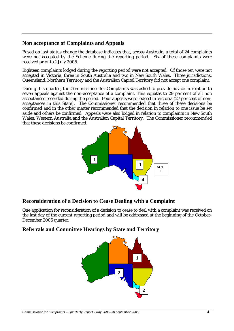#### **Non acceptance of Complaints and Appeals**

Based on *last status change* the database indicates that, across Australia, a total of 24 complaints were not accepted by the Scheme during the reporting period. Six of these complaints were received prior to 1 July 2005.

Eighteen complaints lodged during the reporting period were not accepted. Of those ten were not accepted in Victoria, three in South Australia and two in New South Wales. Three jurisdictions, Queensland, Northern Territory and the Australian Capital Territory did not accept one complaint.

During this quarter, the Commissioner for Complaints was asked to provide advice in relation to seven appeals against the non-acceptance of a complaint. This equates to 29 per cent of all non acceptances recorded during the period. Four appeals were lodged in Victoria (27 per cent of nonacceptances in this State). The Commissioner recommended that three of these decisions be confirmed and in the other matter recommended that the decision in relation to one issue be set aside and others be confirmed. Appeals were also lodged in relation to complaints in New South Wales, Western Australia and the Australian Capital Territory. The Commissioner recommended that these decisions be confirmed.



# **Reconsideration of a Decision to Cease Dealing with a Complaint**

One application for reconsideration of a decision to cease to deal with a complaint was received on the last day of the current reporting period and will be addressed at the beginning of the October-December 2005 quarter.

# **Referrals and Committee Hearings by State and Territory**

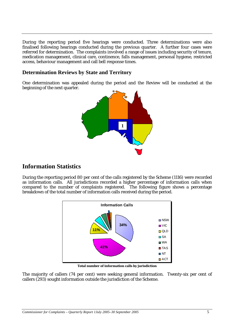During the reporting period five hearings were conducted. Three determinations were also finalised following hearings conducted during the previous quarter. A further four cases were referred for determination. The complaints involved a range of issues including security of tenure, medication management, clinical care, continence, falls management, personal hygiene, restricted access, behaviour management and call bell response times.

#### **Determination Reviews by State and Territory**

One determination was appealed during the period and the Review will be conducted at the beginning of the next quarter.



# **Information Statistics**

During the reporting period 80 per cent of the calls registered by the Scheme (1116) were recorded as information calls. All jurisdictions recorded a higher percentage of information calls when compared to the number of complaints registered. The following figure shows a percentage breakdown of the total number of information calls received during the period.



**Total number of information calls by jurisdiction** 

The majority of callers (74 per cent) were seeking general information. Twenty-six per cent of callers (293) sought information outside the jurisdiction of the Scheme.